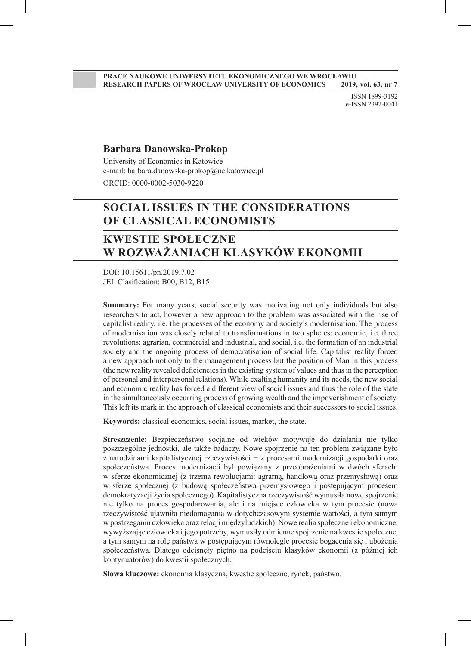ISSN 1899-3192 e-ISSN 2392-0041

#### **Barbara Danowska-Prokop**

University of Economics in Katowice e-mail: barbara.danowska-prokop@ue.katowice.pl ORCID: 0000-0002-5030-9220

# **SOCIAL ISSUES IN THE CONSIDERATIONS OF CLASSICAL ECONOMISTS**

## **KWESTIE SPOŁECZNE W ROZWAŻANIACH KLASYKÓW EKONOMII**

DOI: 10.15611/pn.2019.7.02 JEL Clasification: B00, B12, B15

**Summary:** For many years, social security was motivating not only individuals but also researchers to act, however a new approach to the problem was associated with the rise of capitalist reality, i.e. the processes of the economy and society's modernisation. The process of modernisation was closely related to transformations in two spheres: economic, i.e. three revolutions: agrarian, commercial and industrial, and social, i.e. the formation of an industrial society and the ongoing process of democratisation of social life. Capitalist reality forced a new approach not only to the management process but the position of Man in this process (the new reality revealed deficiencies in the existing system of values and thus in the perception of personal and interpersonal relations). While exalting humanity and its needs, the new social and economic reality has forced a different view of social issues and thus the role of the state in the simultaneously occurring process of growing wealth and the impoverishment of society. This left its mark in the approach of classical economists and their successors to social issues.

**Keywords:** classical economics, social issues, market, the state.

**Streszczenie:** Bezpieczeństwo socjalne od wieków motywuje do działania nie tylko poszczególne jednostki, ale także badaczy. Nowe spojrzenie na ten problem związane było z narodzinami kapitalistycznej rzeczywistości − z procesami modernizacji gospodarki oraz społeczeństwa. Proces modernizacji był powiązany z przeobrażeniami w dwóch sferach: w sferze ekonomicznej (z trzema rewolucjami: agrarną, handlową oraz przemysłową) oraz w sferze społecznej (z budową społeczeństwa przemysłowego i postępującym procesem demokratyzacji życia społecznego). Kapitalistyczna rzeczywistość wymusiła nowe spojrzenie nie tylko na proces gospodarowania, ale i na miejsce człowieka w tym procesie (nowa rzeczywistość ujawniła niedomagania w dotychczasowym systemie wartości, a tym samym w postrzeganiu człowieka oraz relacji międzyludzkich). Nowe realia społeczne i ekonomiczne, wywyższając człowieka i jego potrzeby, wymusiły odmienne spojrzenie na kwestie społeczne, a tym samym na rolę państwa w postępującym równolegle procesie bogacenia się i ubożenia społeczeństwa. Dlatego odcisnęły piętno na podejściu klasyków ekonomii (a później ich kontynuatorów) do kwestii społecznych.

**Słowa kluczowe:** ekonomia klasyczna, kwestie społeczne, rynek, państwo.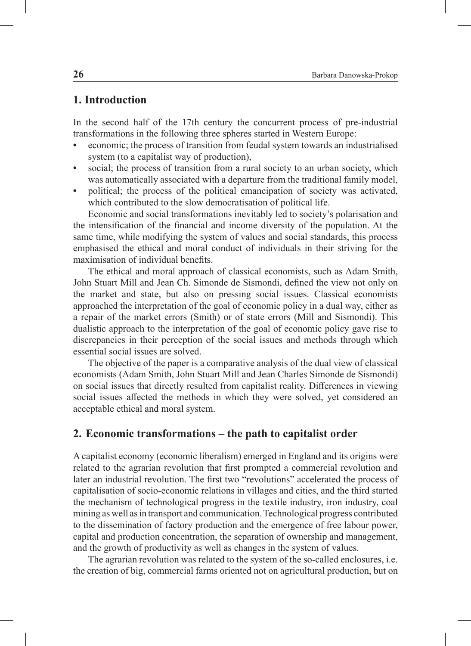### **1. Introduction**

In the second half of the 17th century the concurrent process of pre-industrial transformations in the following three spheres started in Western Europe:

- **•** economic; the process of transition from feudal system towards an industrialised system (to a capitalist way of production),
- **•** social; the process of transition from a rural society to an urban society, which was automatically associated with a departure from the traditional family model,
- **•** political; the process of the political emancipation of society was activated, which contributed to the slow democratisation of political life.

Economic and social transformations inevitably led to society's polarisation and the intensification of the financial and income diversity of the population. At the same time, while modifying the system of values and social standards, this process emphasised the ethical and moral conduct of individuals in their striving for the maximisation of individual benefits.

The ethical and moral approach of classical economists, such as Adam Smith, John Stuart Mill and Jean Ch. Simonde de Sismondi, defined the view not only on the market and state, but also on pressing social issues. Classical economists approached the interpretation of the goal of economic policy in a dual way, either as a repair of the market errors (Smith) or of state errors (Mill and Sismondi). This dualistic approach to the interpretation of the goal of economic policy gave rise to discrepancies in their perception of the social issues and methods through which essential social issues are solved.

The objective of the paper is a comparative analysis of the dual view of classical economists (Adam Smith, John Stuart Mill and Jean Charles Simonde de Sismondi) on social issues that directly resulted from capitalist reality. Differences in viewing social issues affected the methods in which they were solved, yet considered an acceptable ethical and moral system.

### **2. Economic transformations – the path to capitalist order**

A capitalist economy (economic liberalism) emerged in England and its origins were related to the agrarian revolution that first prompted a commercial revolution and later an industrial revolution. The first two "revolutions" accelerated the process of capitalisation of socio-economic relations in villages and cities, and the third started the mechanism of technological progress in the textile industry, iron industry, coal mining as well as in transport and communication. Technological progress contributed to the dissemination of factory production and the emergence of free labour power, capital and production concentration, the separation of ownership and management, and the growth of productivity as well as changes in the system of values.

The agrarian revolution was related to the system of the so-called enclosures, i.e. the creation of big, commercial farms oriented not on agricultural production, but on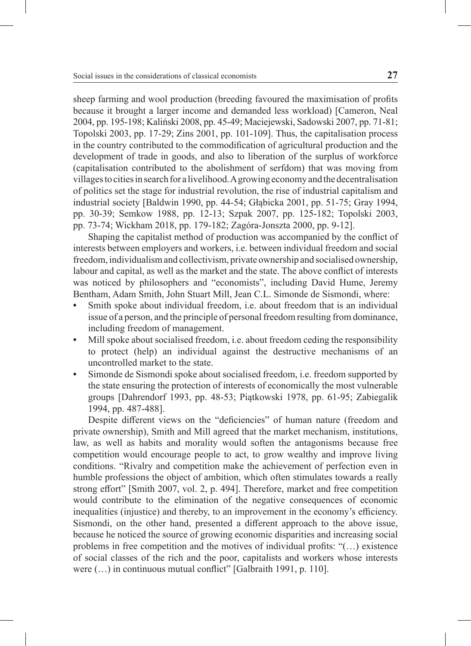sheep farming and wool production (breeding favoured the maximisation of profits because it brought a larger income and demanded less workload) [Cameron, Neal 2004, pp. 195-198; Kaliński 2008, pp. 45-49; Maciejewski, Sadowski 2007, pp. 71-81; Topolski 2003, pp. 17-29; Zins 2001, pp. 101-109]. Thus, the capitalisation process in the country contributed to the commodification of agricultural production and the development of trade in goods, and also to liberation of the surplus of workforce (capitalisation contributed to the abolishment of serfdom) that was moving from villages to cities in search for a livelihood. A growing economy and the decentralisation of politics set the stage for industrial revolution, the rise of industrial capitalism and industrial society [Baldwin 1990, pp. 44-54; Głąbicka 2001, pp. 51-75; Gray 1994, pp. 30-39; Semkow 1988, pp. 12-13; Szpak 2007, pp. 125-182; Topolski 2003, pp. 73-74; Wickham 2018, pp. 179-182; Zagóra-Jonszta 2000, pp. 9-12].

Shaping the capitalist method of production was accompanied by the conflict of interests between employers and workers, i.e. between individual freedom and social freedom, individualism and collectivism, private ownership and socialised ownership, labour and capital, as well as the market and the state. The above conflict of interests was noticed by philosophers and "economists", including David Hume, Jeremy Bentham, Adam Smith, John Stuart Mill, Jean C.L. Simonde de Sismondi, where:

- **•** Smith spoke about individual freedom, i.e. about freedom that is an individual issue of a person, and the principle of personal freedom resulting from dominance, including freedom of management.
- Mill spoke about socialised freedom, i.e. about freedom ceding the responsibility to protect (help) an individual against the destructive mechanisms of an uncontrolled market to the state.
- **•** Simonde de Sismondi spoke about socialised freedom, i.e. freedom supported by the state ensuring the protection of interests of economically the most vulnerable groups [Dahrendorf 1993, pp. 48-53; Piątkowski 1978, pp. 61-95; Zabiegalik 1994, pp. 487-488].

Despite different views on the "deficiencies" of human nature (freedom and private ownership), Smith and Mill agreed that the market mechanism, institutions, law, as well as habits and morality would soften the antagonisms because free competition would encourage people to act, to grow wealthy and improve living conditions. "Rivalry and competition make the achievement of perfection even in humble professions the object of ambition, which often stimulates towards a really strong effort" [Smith 2007, vol. 2, p. 494]. Therefore, market and free competition would contribute to the elimination of the negative consequences of economic inequalities (injustice) and thereby, to an improvement in the economy's efficiency. Sismondi, on the other hand, presented a different approach to the above issue, because he noticed the source of growing economic disparities and increasing social problems in free competition and the motives of individual profits: "(…) existence of social classes of the rich and the poor, capitalists and workers whose interests were  $(...)$  in continuous mutual conflict" [Galbraith 1991, p. 110].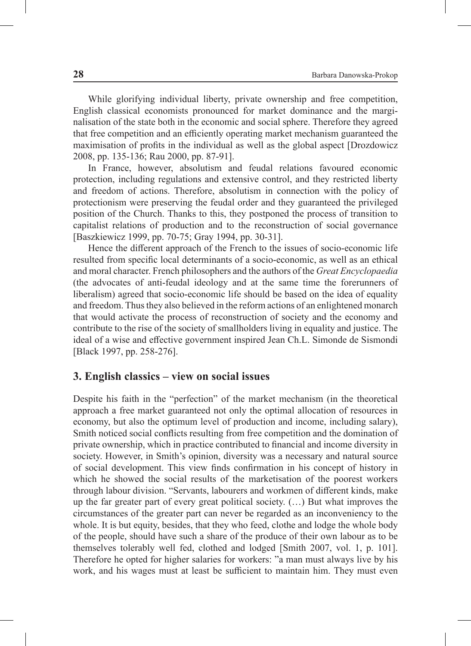While glorifying individual liberty, private ownership and free competition, English classical economists pronounced for market dominance and the marginalisation of the state both in the economic and social sphere. Therefore they agreed that free competition and an efficiently operating market mechanism guaranteed the maximisation of profits in the individual as well as the global aspect [Drozdowicz 2008, pp. 135-136; Rau 2000, pp. 87-91].

In France, however, absolutism and feudal relations favoured economic protection, including regulations and extensive control, and they restricted liberty and freedom of actions. Therefore, absolutism in connection with the policy of protectionism were preserving the feudal order and they guaranteed the privileged position of the Church. Thanks to this, they postponed the process of transition to capitalist relations of production and to the reconstruction of social governance [Baszkiewicz 1999, pp. 70-75; Gray 1994, pp. 30-31].

Hence the different approach of the French to the issues of socio-economic life resulted from specific local determinants of a socio-economic, as well as an ethical and moral character. French philosophers and the authors of the *Great Encyclopaedia* (the advocates of anti-feudal ideology and at the same time the forerunners of liberalism) agreed that socio-economic life should be based on the idea of equality and freedom. Thus they also believed in the reform actions of an enlightened monarch that would activate the process of reconstruction of society and the economy and contribute to the rise of the society of smallholders living in equality and justice. The ideal of a wise and effective government inspired Jean Ch.L. Simonde de Sismondi [Black 1997, pp. 258-276].

#### **3. English classics – view on social issues**

Despite his faith in the "perfection" of the market mechanism (in the theoretical approach a free market guaranteed not only the optimal allocation of resources in economy, but also the optimum level of production and income, including salary), Smith noticed social conflicts resulting from free competition and the domination of private ownership, which in practice contributed to financial and income diversity in society. However, in Smith's opinion, diversity was a necessary and natural source of social development. This view finds confirmation in his concept of history in which he showed the social results of the marketisation of the poorest workers through labour division. "Servants, labourers and workmen of different kinds, make up the far greater part of every great political society. (…) But what improves the circumstances of the greater part can never be regarded as an inconveniency to the whole. It is but equity, besides, that they who feed, clothe and lodge the whole body of the people, should have such a share of the produce of their own labour as to be themselves tolerably well fed, clothed and lodged [Smith 2007, vol. 1, p. 101]. Therefore he opted for higher salaries for workers: "a man must always live by his work, and his wages must at least be sufficient to maintain him. They must even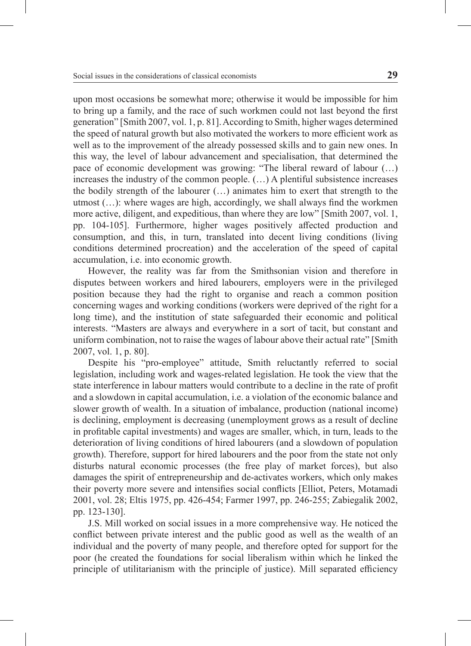upon most occasions be somewhat more; otherwise it would be impossible for him to bring up a family, and the race of such workmen could not last beyond the first generation" [Smith 2007, vol. 1, p. 81]. According to Smith, higher wages determined the speed of natural growth but also motivated the workers to more efficient work as well as to the improvement of the already possessed skills and to gain new ones. In this way, the level of labour advancement and specialisation, that determined the pace of economic development was growing: "The liberal reward of labour (…) increases the industry of the common people.  $(\ldots)$  A plentiful subsistence increases the bodily strength of the labourer (…) animates him to exert that strength to the utmost (…): where wages are high, accordingly, we shall always find the workmen more active, diligent, and expeditious, than where they are low" [Smith 2007, vol. 1, pp. 104-105]. Furthermore, higher wages positively affected production and consumption, and this, in turn, translated into decent living conditions (living conditions determined procreation) and the acceleration of the speed of capital accumulation, i.e. into economic growth.

However, the reality was far from the Smithsonian vision and therefore in disputes between workers and hired labourers, employers were in the privileged position because they had the right to organise and reach a common position concerning wages and working conditions (workers were deprived of the right for a long time), and the institution of state safeguarded their economic and political interests. "Masters are always and everywhere in a sort of tacit, but constant and uniform combination, not to raise the wages of labour above their actual rate" [Smith 2007, vol. 1, p. 80].

Despite his "pro-employee" attitude, Smith reluctantly referred to social legislation, including work and wages-related legislation. He took the view that the state interference in labour matters would contribute to a decline in the rate of profit and a slowdown in capital accumulation, i.e. a violation of the economic balance and slower growth of wealth. In a situation of imbalance, production (national income) is declining, employment is decreasing (unemployment grows as a result of decline in profitable capital investments) and wages are smaller, which, in turn, leads to the deterioration of living conditions of hired labourers (and a slowdown of population growth). Therefore, support for hired labourers and the poor from the state not only disturbs natural economic processes (the free play of market forces), but also damages the spirit of entrepreneurship and de-activates workers, which only makes their poverty more severe and intensifies social conflicts [Elliot, Peters, Motamadi 2001, vol. 28; Eltis 1975, pp. 426-454; Farmer 1997, pp. 246-255; Zabiegalik 2002, pp. 123-130].

J.S. Mill worked on social issues in a more comprehensive way. He noticed the conflict between private interest and the public good as well as the wealth of an individual and the poverty of many people, and therefore opted for support for the poor (he created the foundations for social liberalism within which he linked the principle of utilitarianism with the principle of justice). Mill separated efficiency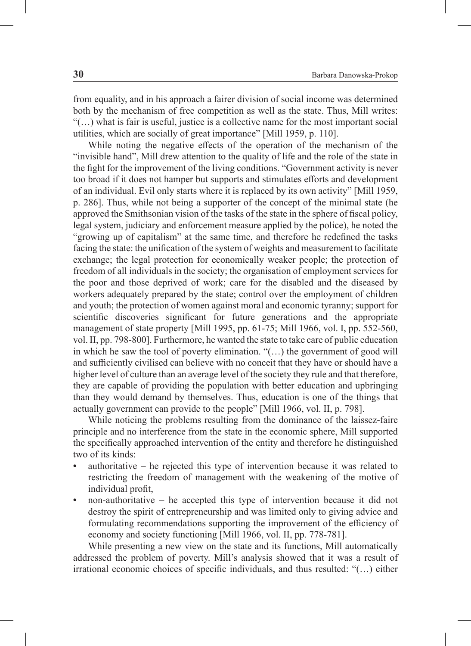from equality, and in his approach a fairer division of social income was determined both by the mechanism of free competition as well as the state. Thus, Mill writes: "(…) what is fair is useful, justice is a collective name for the most important social utilities, which are socially of great importance" [Mill 1959, p. 110].

While noting the negative effects of the operation of the mechanism of the "invisible hand", Mill drew attention to the quality of life and the role of the state in the fight for the improvement of the living conditions. "Government activity is never too broad if it does not hamper but supports and stimulates efforts and development of an individual. Evil only starts where it is replaced by its own activity" [Mill 1959, p. 286]. Thus, while not being a supporter of the concept of the minimal state (he approved the Smithsonian vision of the tasks of the state in the sphere of fiscal policy, legal system, judiciary and enforcement measure applied by the police), he noted the "growing up of capitalism" at the same time, and therefore he redefined the tasks facing the state: the unification of the system of weights and measurement to facilitate exchange; the legal protection for economically weaker people; the protection of freedom of all individuals in the society; the organisation of employment services for the poor and those deprived of work; care for the disabled and the diseased by workers adequately prepared by the state; control over the employment of children and youth; the protection of women against moral and economic tyranny; support for scientific discoveries significant for future generations and the appropriate management of state property [Mill 1995, pp. 61-75; Mill 1966, vol. I, pp. 552-560, vol. II, pp. 798-800]. Furthermore, he wanted the state to take care of public education in which he saw the tool of poverty elimination. "(…) the government of good will and sufficiently civilised can believe with no conceit that they have or should have a higher level of culture than an average level of the society they rule and that therefore, they are capable of providing the population with better education and upbringing than they would demand by themselves. Thus, education is one of the things that actually government can provide to the people" [Mill 1966, vol. II, p. 798].

While noticing the problems resulting from the dominance of the laissez-faire principle and no interference from the state in the economic sphere, Mill supported the specifically approached intervention of the entity and therefore he distinguished two of its kinds:

- **•** authoritative he rejected this type of intervention because it was related to restricting the freedom of management with the weakening of the motive of individual profit,
- **•** non-authoritative he accepted this type of intervention because it did not destroy the spirit of entrepreneurship and was limited only to giving advice and formulating recommendations supporting the improvement of the efficiency of economy and society functioning [Mill 1966, vol. II, pp. 778-781].

While presenting a new view on the state and its functions, Mill automatically addressed the problem of poverty. Mill's analysis showed that it was a result of irrational economic choices of specific individuals, and thus resulted: "(…) either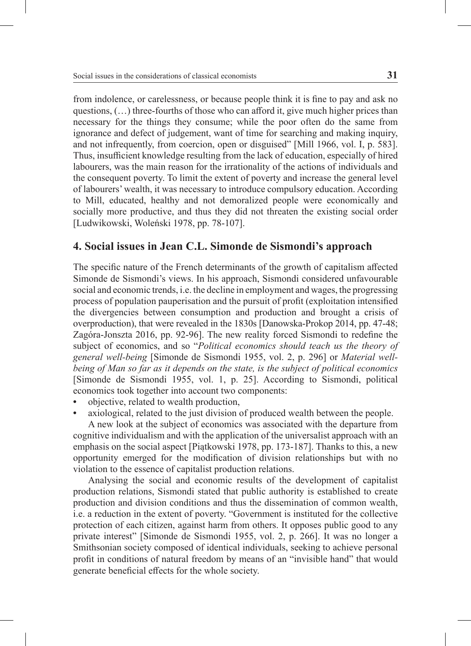from indolence, or carelessness, or because people think it is fine to pay and ask no questions, (…) three-fourths of those who can afford it, give much higher prices than necessary for the things they consume; while the poor often do the same from ignorance and defect of judgement, want of time for searching and making inquiry, and not infrequently, from coercion, open or disguised" [Mill 1966, vol. I, p. 583]. Thus, insufficient knowledge resulting from the lack of education, especially of hired labourers, was the main reason for the irrationality of the actions of individuals and the consequent poverty. To limit the extent of poverty and increase the general level of labourers' wealth, it was necessary to introduce compulsory education. According to Mill, educated, healthy and not demoralized people were economically and socially more productive, and thus they did not threaten the existing social order [Ludwikowski, Woleński 1978, pp. 78-107].

### **4. Social issues in Jean C.L. Simonde de Sismondi's approach**

The specific nature of the French determinants of the growth of capitalism affected Simonde de Sismondi's views. In his approach, Sismondi considered unfavourable social and economic trends, i.e. the decline in employment and wages, the progressing process of population pauperisation and the pursuit of profit (exploitation intensified the divergencies between consumption and production and brought a crisis of overproduction), that were revealed in the 1830s [Danowska-Prokop 2014, pp. 47-48; Zagóra-Jonszta 2016, pp. 92-96]. The new reality forced Sismondi to redefine the subject of economics, and so "*Political economics should teach us the theory of general well-being* [Simonde de Sismondi 1955, vol. 2, p. 296] or *Material wellbeing of Man so far as it depends on the state, is the subject of political economics* [Simonde de Sismondi 1955, vol. 1, p. 25]. According to Sismondi, political economics took together into account two components:

- **•** objective, related to wealth production,
- **•** axiological, related to the just division of produced wealth between the people.

A new look at the subject of economics was associated with the departure from cognitive individualism and with the application of the universalist approach with an emphasis on the social aspect [Piątkowski 1978, pp. 173-187]. Thanks to this, a new opportunity emerged for the modification of division relationships but with no violation to the essence of capitalist production relations.

Analysing the social and economic results of the development of capitalist production relations, Sismondi stated that public authority is established to create production and division conditions and thus the dissemination of common wealth, i.e. a reduction in the extent of poverty. "Government is instituted for the collective protection of each citizen, against harm from others. It opposes public good to any private interest" [Simonde de Sismondi 1955, vol. 2, p. 266]. It was no longer a Smithsonian society composed of identical individuals, seeking to achieve personal profit in conditions of natural freedom by means of an "invisible hand" that would generate beneficial effects for the whole society.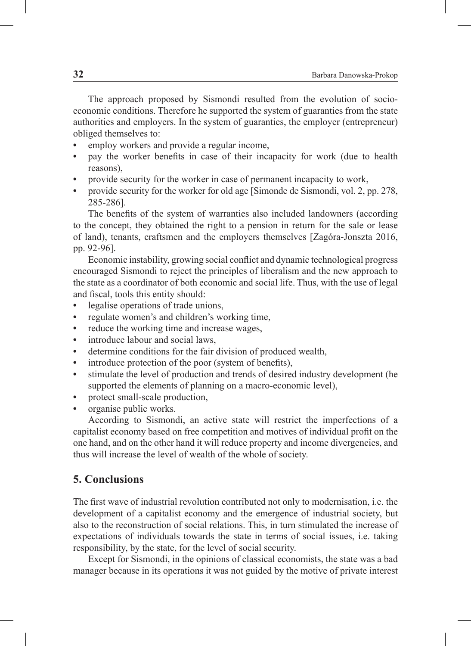The approach proposed by Sismondi resulted from the evolution of socioeconomic conditions. Therefore he supported the system of guaranties from the state authorities and employers. In the system of guaranties, the employer (entrepreneur) obliged themselves to:

- **•** employ workers and provide a regular income,
- **•** pay the worker benefits in case of their incapacity for work (due to health reasons),
- **•** provide security for the worker in case of permanent incapacity to work,
- **•** provide security for the worker for old age [Simonde de Sismondi, vol. 2, pp. 278, 285-286].

The benefits of the system of warranties also included landowners (according to the concept, they obtained the right to a pension in return for the sale or lease of land), tenants, craftsmen and the employers themselves [Zagóra-Jonszta 2016, pp. 92-96].

Economic instability, growing social conflict and dynamic technological progress encouraged Sismondi to reject the principles of liberalism and the new approach to the state as a coordinator of both economic and social life. Thus, with the use of legal and fiscal, tools this entity should:

- **•** legalise operations of trade unions,
- **•** regulate women's and children's working time,
- **•** reduce the working time and increase wages,
- **•** introduce labour and social laws,
- **•** determine conditions for the fair division of produced wealth,
- **•** introduce protection of the poor (system of benefits),
- **•** stimulate the level of production and trends of desired industry development (he supported the elements of planning on a macro-economic level),
- protect small-scale production,
- **•** organise public works.

According to Sismondi, an active state will restrict the imperfections of a capitalist economy based on free competition and motives of individual profit on the one hand, and on the other hand it will reduce property and income divergencies, and thus will increase the level of wealth of the whole of society.

## **5. Conclusions**

The first wave of industrial revolution contributed not only to modernisation, i.e. the development of a capitalist economy and the emergence of industrial society, but also to the reconstruction of social relations. This, in turn stimulated the increase of expectations of individuals towards the state in terms of social issues, i.e. taking responsibility, by the state, for the level of social security.

Except for Sismondi, in the opinions of classical economists, the state was a bad manager because in its operations it was not guided by the motive of private interest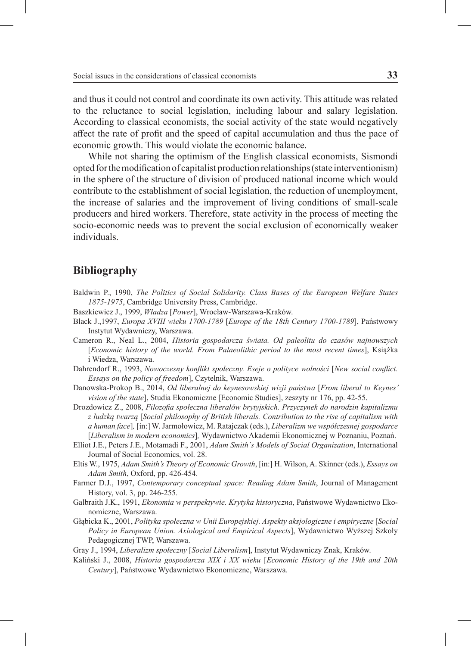and thus it could not control and coordinate its own activity. This attitude was related to the reluctance to social legislation, including labour and salary legislation. According to classical economists, the social activity of the state would negatively affect the rate of profit and the speed of capital accumulation and thus the pace of economic growth. This would violate the economic balance.

While not sharing the optimism of the English classical economists, Sismondi opted for the modification of capitalist production relationships (state interventionism) in the sphere of the structure of division of produced national income which would contribute to the establishment of social legislation, the reduction of unemployment, the increase of salaries and the improvement of living conditions of small-scale producers and hired workers. Therefore, state activity in the process of meeting the socio-economic needs was to prevent the social exclusion of economically weaker individuals.

### **Bibliography**

- Baldwin P., 1990, *The Politics of Social Solidarity. Class Bases of the European Welfare States 1875-1975*, Cambridge University Press, Cambridge.
- Baszkiewicz J., 1999, *Władza* [*Power*], Wrocław-Warszawa-Kraków.
- Black J.,1997, *Europa XVIII wieku 1700-1789* [*Europe of the 18th Century 1700-1789*], Państwowy Instytut Wydawniczy, Warszawa.
- Cameron R., Neal L., 2004, *Historia gospodarcza świata. Od paleolitu do czasów najnowszych*  [*Economic history of the world. From Palaeolithic period to the most recent times*], Książka i Wiedza, Warszawa.
- Dahrendorf R., 1993, *Nowoczesny konflikt społeczny. Eseje o polityce wolności* [*New social conflict. Essays on the policy of freedom*], Czytelnik, Warszawa.
- Danowska-Prokop B., 2014, *Od liberalnej do keynesowskiej wizji państwa* [*From liberal to Keynes' vision of the state*], Studia Ekonomiczne [Economic Studies], zeszyty nr 176, pp. 42-55.
- Drozdowicz Z., 2008, *Filozofia społeczna liberałów brytyjskich. Przyczynek do narodzin kapitalizmu z ludzką twarzą* [*Social philosophy of British liberals. Contribution to the rise of capitalism with a human face*]*,* [in:] W. Jarmołowicz, M. Ratajczak (eds.), *Liberalizm we współczesnej gospodarce*  [*Liberalism in modern economics*]*,* Wydawnictwo Akademii Ekonomicznej w Poznaniu, Poznań.
- Elliot J.E., Peters J.E., Motamadi F., 2001, *Adam Smith`s Models of Social Organization*, International Journal of Social Economics, vol. 28.
- Eltis W., 1975, *Adam Smith's Theory of Economic Growth*, [in:] H. Wilson, A. Skinner (eds.), *Essays on Adam Smith*, Oxford, pp. 426-454.
- Farmer D.J., 1997, *Contemporary conceptual space: Reading Adam Smith*, Journal of Management History, vol. 3, pp. 246-255.
- Galbraith J.K., 1991, *Ekonomia w perspektywie. Krytyka historyczna*, Państwowe Wydawnictwo Ekonomiczne, Warszawa.
- Głąbicka K., 2001, *Polityka społeczna w Unii Europejskiej. Aspekty aksjologiczne i empiryczne* [*Social Policy in European Union. Axiological and Empirical Aspects*], Wydawnictwo Wyższej Szkoły Pedagogicznej TWP, Warszawa.
- Gray J., 1994, *Liberalizm społeczny* [*Social Liberalism*], Instytut Wydawniczy Znak, Kraków.
- Kaliński J., 2008, *Historia gospodarcza XIX i XX wieku* [*Economic History of the 19th and 20th Century*], Państwowe Wydawnictwo Ekonomiczne, Warszawa.